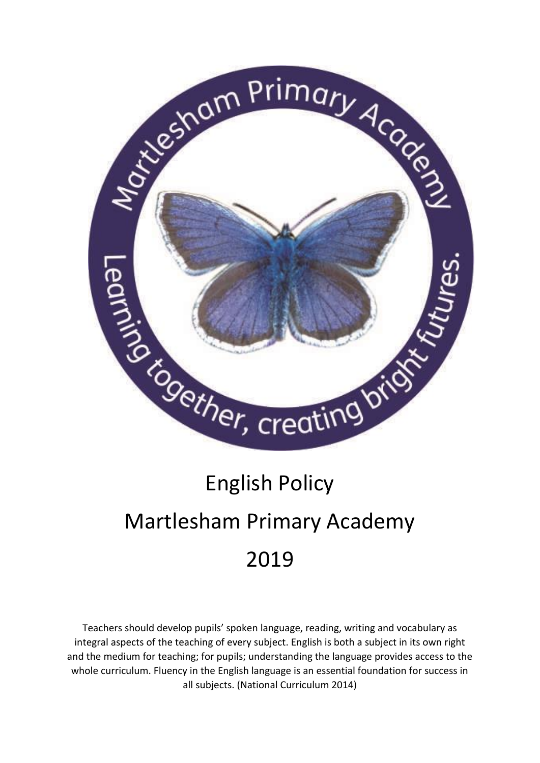

## English Policy Martlesham Primary Academy 2019

Teachers should develop pupils' spoken language, reading, writing and vocabulary as integral aspects of the teaching of every subject. English is both a subject in its own right and the medium for teaching; for pupils; understanding the language provides access to the whole curriculum. Fluency in the English language is an essential foundation for success in all subjects. (National Curriculum 2014)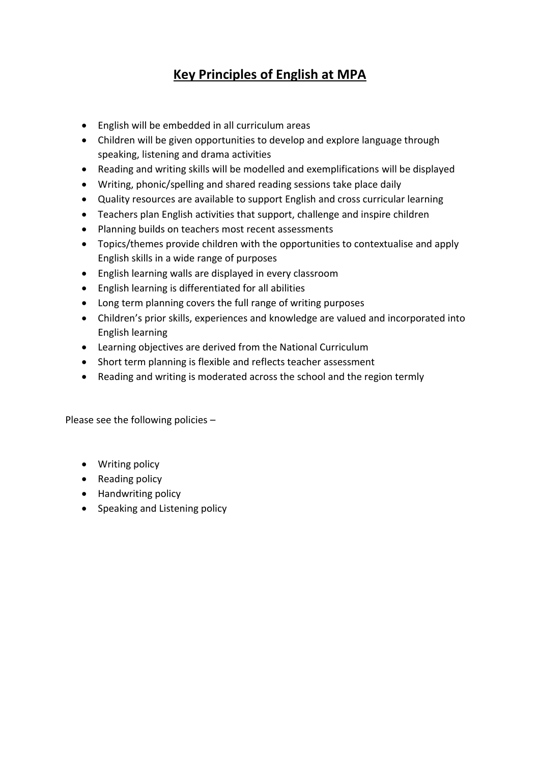## **Key Principles of English at MPA**

- English will be embedded in all curriculum areas
- Children will be given opportunities to develop and explore language through speaking, listening and drama activities
- Reading and writing skills will be modelled and exemplifications will be displayed
- Writing, phonic/spelling and shared reading sessions take place daily
- Quality resources are available to support English and cross curricular learning
- Teachers plan English activities that support, challenge and inspire children
- Planning builds on teachers most recent assessments
- Topics/themes provide children with the opportunities to contextualise and apply English skills in a wide range of purposes
- English learning walls are displayed in every classroom
- English learning is differentiated for all abilities
- Long term planning covers the full range of writing purposes
- Children's prior skills, experiences and knowledge are valued and incorporated into English learning
- Learning objectives are derived from the National Curriculum
- Short term planning is flexible and reflects teacher assessment
- Reading and writing is moderated across the school and the region termly

Please see the following policies –

- Writing policy
- Reading policy
- Handwriting policy
- Speaking and Listening policy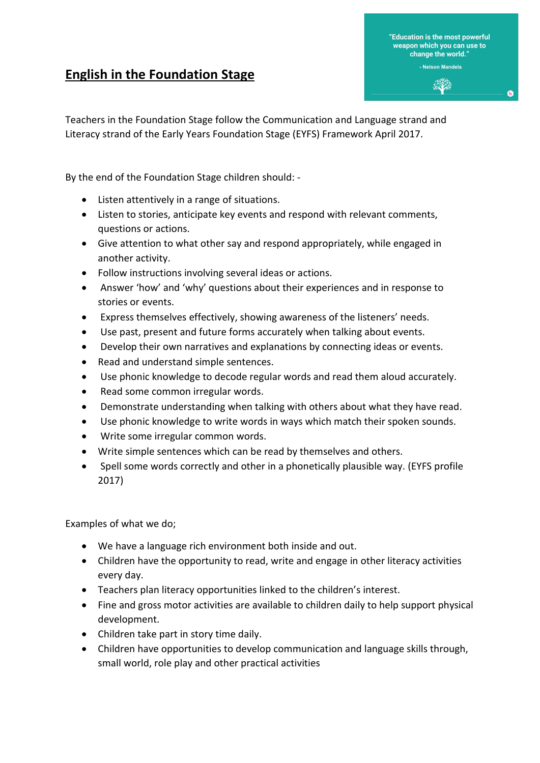### **English in the Foundation Stage**



G

Teachers in the Foundation Stage follow the Communication and Language strand and Literacy strand of the Early Years Foundation Stage (EYFS) Framework April 2017.

By the end of the Foundation Stage children should: ‐

- Listen attentively in a range of situations.
- Listen to stories, anticipate key events and respond with relevant comments, questions or actions.
- Give attention to what other say and respond appropriately, while engaged in another activity.
- Follow instructions involving several ideas or actions.
- Answer 'how' and 'why' questions about their experiences and in response to stories or events.
- Express themselves effectively, showing awareness of the listeners' needs.
- Use past, present and future forms accurately when talking about events.
- Develop their own narratives and explanations by connecting ideas or events.
- Read and understand simple sentences.
- Use phonic knowledge to decode regular words and read them aloud accurately.
- Read some common irregular words.
- Demonstrate understanding when talking with others about what they have read.
- Use phonic knowledge to write words in ways which match their spoken sounds.
- Write some irregular common words.
- Write simple sentences which can be read by themselves and others.
- Spell some words correctly and other in a phonetically plausible way. (EYFS profile 2017)

Examples of what we do;

- We have a language rich environment both inside and out.
- Children have the opportunity to read, write and engage in other literacy activities every day.
- Teachers plan literacy opportunities linked to the children's interest.
- Fine and gross motor activities are available to children daily to help support physical development.
- Children take part in story time daily.
- Children have opportunities to develop communication and language skills through, small world, role play and other practical activities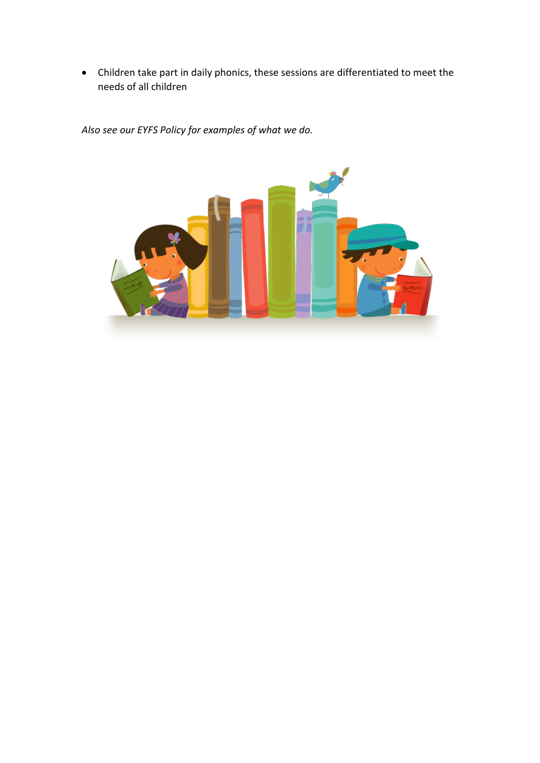Children take part in daily phonics, these sessions are differentiated to meet the needs of all children

*Also see our EYFS Policy for examples of what we do.* 

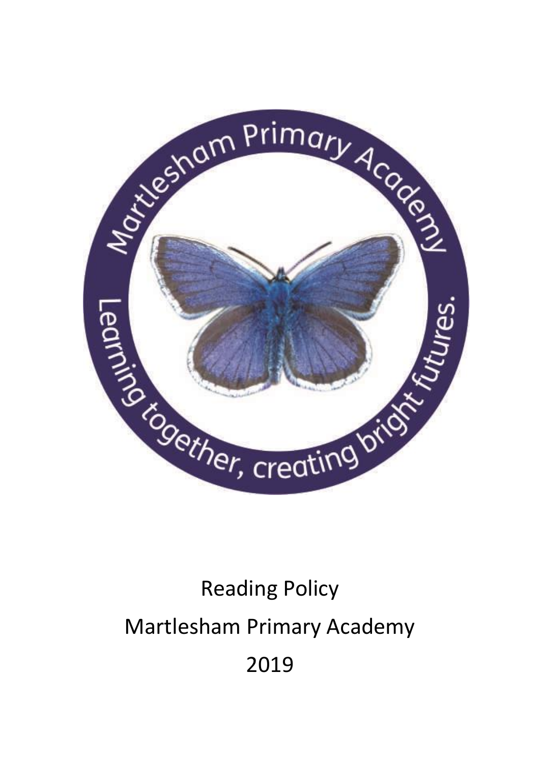

## Reading Policy Martlesham Primary Academy 2019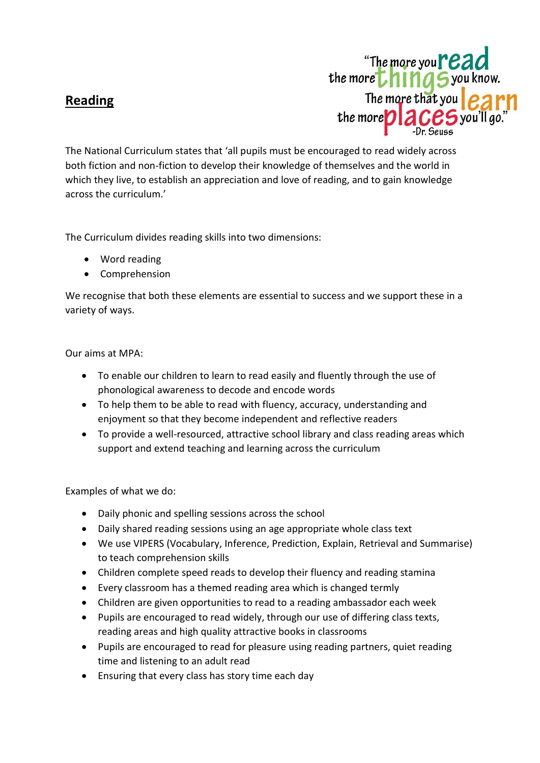### **Reading**



The National Curriculum states that 'all pupils must be encouraged to read widely across both fiction and non-fiction to develop their knowledge of themselves and the world in which they live, to establish an appreciation and love of reading, and to gain knowledge across the curriculum.'

The Curriculum divides reading skills into two dimensions:

- Word reading
- Comprehension

We recognise that both these elements are essential to success and we support these in a variety of ways.

Our aims at MPA:

- To enable our children to learn to read easily and fluently through the use of phonological awareness to decode and encode words
- To help them to be able to read with fluency, accuracy, understanding and enjoyment so that they become independent and reflective readers
- To provide a well-resourced, attractive school library and class reading areas which support and extend teaching and learning across the curriculum

Examples of what we do:

- Daily phonic and spelling sessions across the school
- Daily shared reading sessions using an age appropriate whole class text
- We use VIPERS (Vocabulary, Inference, Prediction, Explain, Retrieval and Summarise) to teach comprehension skills
- Children complete speed reads to develop their fluency and reading stamina
- Every classroom has a themed reading area which is changed termly
- Children are given opportunities to read to a reading ambassador each week
- Pupils are encouraged to read widely, through our use of differing class texts, reading areas and high quality attractive books in classrooms
- Pupils are encouraged to read for pleasure using reading partners, quiet reading time and listening to an adult read
- Ensuring that every class has story time each day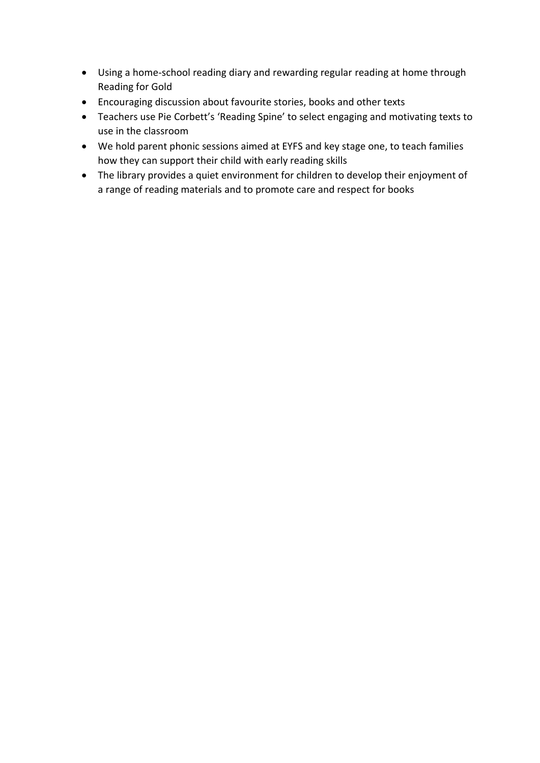- Using a home-school reading diary and rewarding regular reading at home through Reading for Gold
- Encouraging discussion about favourite stories, books and other texts
- Teachers use Pie Corbett's 'Reading Spine' to select engaging and motivating texts to use in the classroom
- We hold parent phonic sessions aimed at EYFS and key stage one, to teach families how they can support their child with early reading skills
- The library provides a quiet environment for children to develop their enjoyment of a range of reading materials and to promote care and respect for books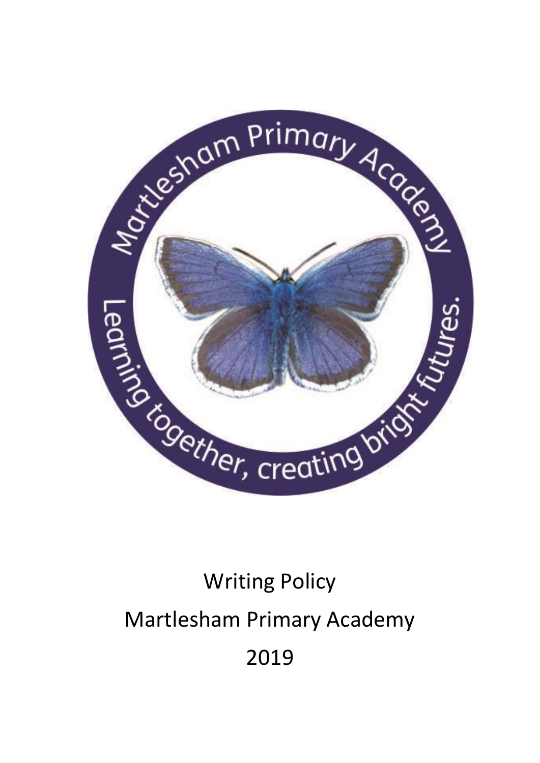

# Writing Policy Martlesham Primary Academy 2019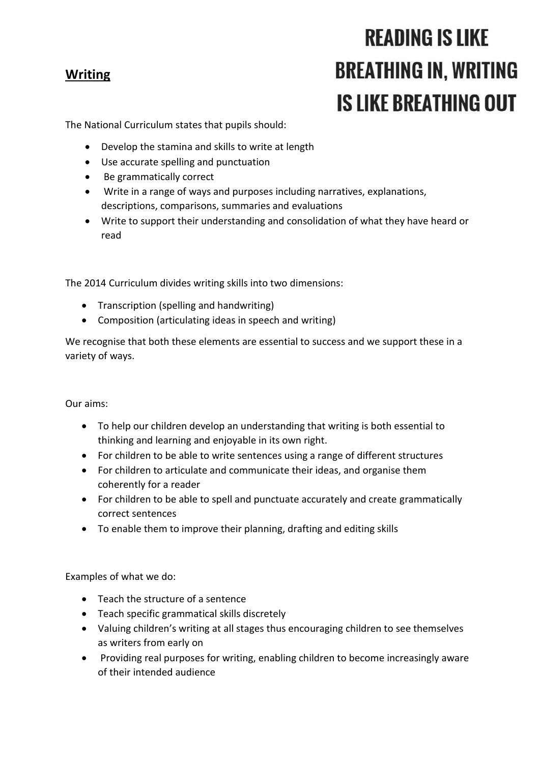### **Writing**

## **READING IS LIKE BREATHING IN, WRITING IS LIKE BREATHING OUT**

The National Curriculum states that pupils should:

- Develop the stamina and skills to write at length
- Use accurate spelling and punctuation
- Be grammatically correct
- Write in a range of ways and purposes including narratives, explanations, descriptions, comparisons, summaries and evaluations
- Write to support their understanding and consolidation of what they have heard or read

The 2014 Curriculum divides writing skills into two dimensions:

- Transcription (spelling and handwriting)
- Composition (articulating ideas in speech and writing)

We recognise that both these elements are essential to success and we support these in a variety of ways.

#### Our aims:

- To help our children develop an understanding that writing is both essential to thinking and learning and enjoyable in its own right.
- For children to be able to write sentences using a range of different structures
- For children to articulate and communicate their ideas, and organise them coherently for a reader
- For children to be able to spell and punctuate accurately and create grammatically correct sentences
- To enable them to improve their planning, drafting and editing skills

Examples of what we do:

- Teach the structure of a sentence
- Teach specific grammatical skills discretely
- Valuing children's writing at all stages thus encouraging children to see themselves as writers from early on
- Providing real purposes for writing, enabling children to become increasingly aware of their intended audience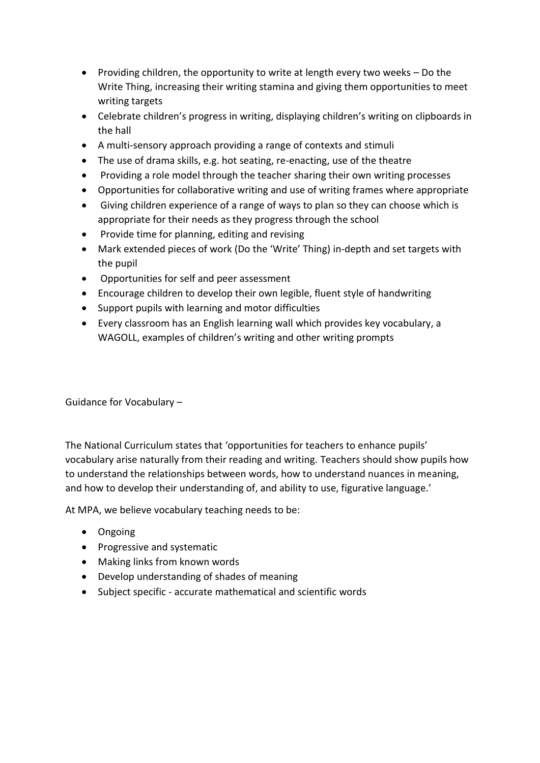- Providing children, the opportunity to write at length every two weeks Do the Write Thing, increasing their writing stamina and giving them opportunities to meet writing targets
- Celebrate children's progress in writing, displaying children's writing on clipboards in the hall
- A multi-sensory approach providing a range of contexts and stimuli
- The use of drama skills, e.g. hot seating, re-enacting, use of the theatre
- Providing a role model through the teacher sharing their own writing processes
- Opportunities for collaborative writing and use of writing frames where appropriate
- Giving children experience of a range of ways to plan so they can choose which is appropriate for their needs as they progress through the school
- Provide time for planning, editing and revising
- Mark extended pieces of work (Do the 'Write' Thing) in-depth and set targets with the pupil
- Opportunities for self and peer assessment
- Encourage children to develop their own legible, fluent style of handwriting
- Support pupils with learning and motor difficulties
- Every classroom has an English learning wall which provides key vocabulary, a WAGOLL, examples of children's writing and other writing prompts

Guidance for Vocabulary –

The National Curriculum states that 'opportunities for teachers to enhance pupils' vocabulary arise naturally from their reading and writing. Teachers should show pupils how to understand the relationships between words, how to understand nuances in meaning, and how to develop their understanding of, and ability to use, figurative language.'

At MPA, we believe vocabulary teaching needs to be:

- Ongoing
- Progressive and systematic
- Making links from known words
- Develop understanding of shades of meaning
- Subject specific accurate mathematical and scientific words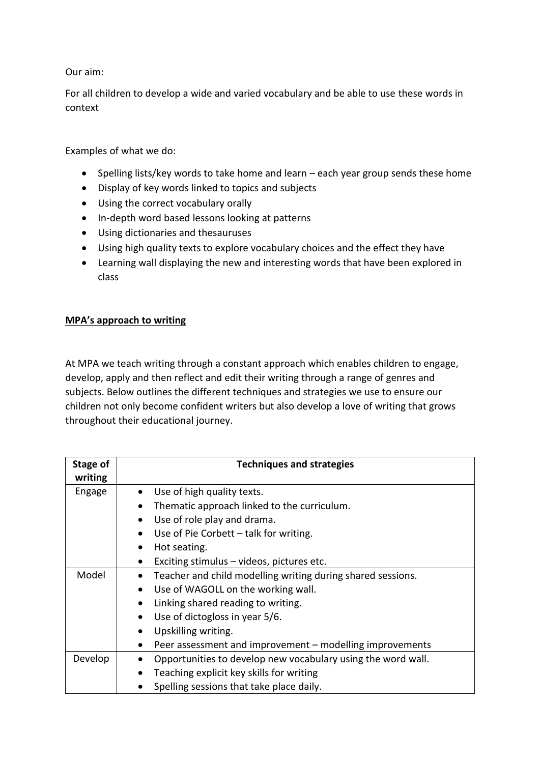Our aim:

For all children to develop a wide and varied vocabulary and be able to use these words in context

Examples of what we do:

- Spelling lists/key words to take home and learn each year group sends these home
- Display of key words linked to topics and subjects
- Using the correct vocabulary orally
- In-depth word based lessons looking at patterns
- Using dictionaries and thesauruses
- Using high quality texts to explore vocabulary choices and the effect they have
- Learning wall displaying the new and interesting words that have been explored in class

#### **MPA's approach to writing**

At MPA we teach writing through a constant approach which enables children to engage, develop, apply and then reflect and edit their writing through a range of genres and subjects. Below outlines the different techniques and strategies we use to ensure our children not only become confident writers but also develop a love of writing that grows throughout their educational journey.

| Stage of<br>writing | <b>Techniques and strategies</b>                             |
|---------------------|--------------------------------------------------------------|
| Engage              | Use of high quality texts.                                   |
|                     | Thematic approach linked to the curriculum.                  |
|                     | Use of role play and drama.<br>$\bullet$                     |
|                     | Use of Pie Corbett - talk for writing.                       |
|                     | Hot seating.                                                 |
|                     | Exciting stimulus – videos, pictures etc.                    |
| Model               | Teacher and child modelling writing during shared sessions.  |
|                     | Use of WAGOLL on the working wall.                           |
|                     | Linking shared reading to writing.<br>$\bullet$              |
|                     | Use of dictogloss in year 5/6.                               |
|                     | Upskilling writing.                                          |
|                     | Peer assessment and improvement – modelling improvements     |
| Develop             | Opportunities to develop new vocabulary using the word wall. |
|                     | Teaching explicit key skills for writing                     |
|                     | Spelling sessions that take place daily.                     |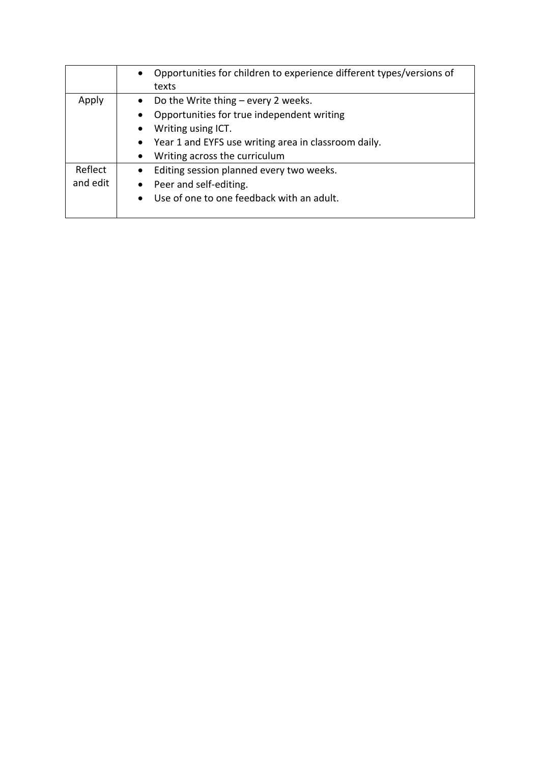|          | Opportunities for children to experience different types/versions of<br>$\bullet$ |
|----------|-----------------------------------------------------------------------------------|
|          | texts                                                                             |
| Apply    | Do the Write thing - every 2 weeks.<br>$\bullet$                                  |
|          | Opportunities for true independent writing<br>$\bullet$                           |
|          | Writing using ICT.<br>$\bullet$                                                   |
|          | • Year 1 and EYFS use writing area in classroom daily.                            |
|          | Writing across the curriculum<br>$\bullet$                                        |
| Reflect  | Editing session planned every two weeks.<br>$\bullet$                             |
| and edit | Peer and self-editing.<br>$\bullet$                                               |
|          | Use of one to one feedback with an adult.<br>$\bullet$                            |
|          |                                                                                   |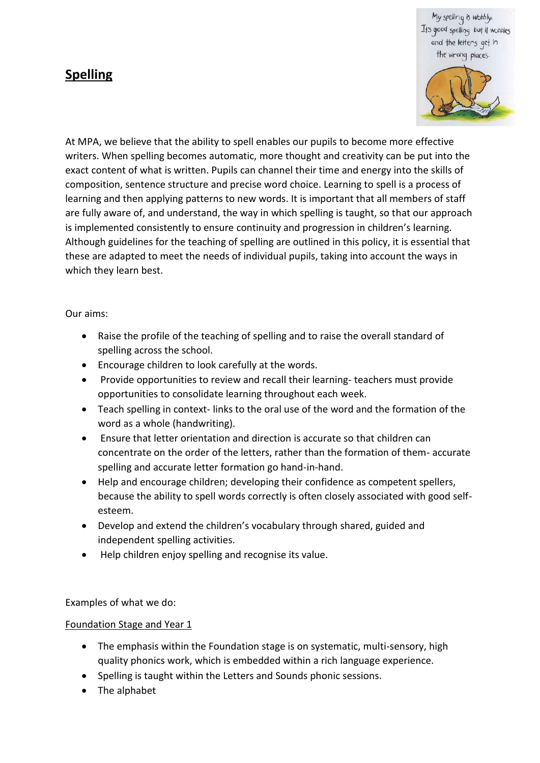### **Spelling**



At MPA, we believe that the ability to spell enables our pupils to become more effective writers. When spelling becomes automatic, more thought and creativity can be put into the exact content of what is written. Pupils can channel their time and energy into the skills of composition, sentence structure and precise word choice. Learning to spell is a process of learning and then applying patterns to new words. It is important that all members of staff are fully aware of, and understand, the way in which spelling is taught, so that our approach is implemented consistently to ensure continuity and progression in children's learning. Although guidelines for the teaching of spelling are outlined in this policy, it is essential that these are adapted to meet the needs of individual pupils, taking into account the ways in which they learn best.

#### Our aims:

- Raise the profile of the teaching of spelling and to raise the overall standard of spelling across the school.
- Encourage children to look carefully at the words.
- Provide opportunities to review and recall their learning- teachers must provide opportunities to consolidate learning throughout each week.
- Teach spelling in context- links to the oral use of the word and the formation of the word as a whole (handwriting).
- Ensure that letter orientation and direction is accurate so that children can concentrate on the order of the letters, rather than the formation of them- accurate spelling and accurate letter formation go hand-in-hand.
- Help and encourage children; developing their confidence as competent spellers, because the ability to spell words correctly is often closely associated with good selfesteem.
- Develop and extend the children's vocabulary through shared, guided and independent spelling activities.
- Help children enjoy spelling and recognise its value.

Examples of what we do:

#### Foundation Stage and Year 1

- The emphasis within the Foundation stage is on systematic, multi-sensory, high quality phonics work, which is embedded within a rich language experience.
- Spelling is taught within the Letters and Sounds phonic sessions.
- The alphabet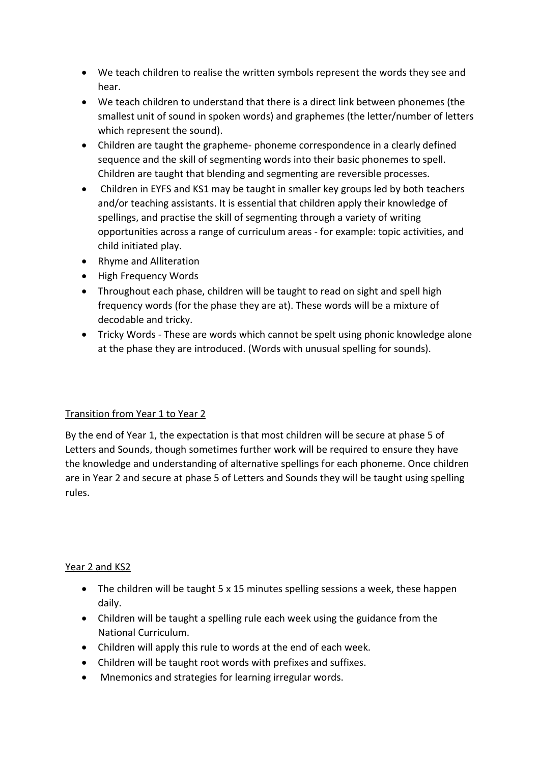- We teach children to realise the written symbols represent the words they see and hear.
- We teach children to understand that there is a direct link between phonemes (the smallest unit of sound in spoken words) and graphemes (the letter/number of letters which represent the sound).
- Children are taught the grapheme- phoneme correspondence in a clearly defined sequence and the skill of segmenting words into their basic phonemes to spell. Children are taught that blending and segmenting are reversible processes.
- Children in EYFS and KS1 may be taught in smaller key groups led by both teachers and/or teaching assistants. It is essential that children apply their knowledge of spellings, and practise the skill of segmenting through a variety of writing opportunities across a range of curriculum areas - for example: topic activities, and child initiated play.
- Rhyme and Alliteration
- High Frequency Words
- Throughout each phase, children will be taught to read on sight and spell high frequency words (for the phase they are at). These words will be a mixture of decodable and tricky.
- Tricky Words These are words which cannot be spelt using phonic knowledge alone at the phase they are introduced. (Words with unusual spelling for sounds).

#### Transition from Year 1 to Year 2

By the end of Year 1, the expectation is that most children will be secure at phase 5 of Letters and Sounds, though sometimes further work will be required to ensure they have the knowledge and understanding of alternative spellings for each phoneme. Once children are in Year 2 and secure at phase 5 of Letters and Sounds they will be taught using spelling rules.

#### Year 2 and KS2

- The children will be taught 5 x 15 minutes spelling sessions a week, these happen daily.
- Children will be taught a spelling rule each week using the guidance from the National Curriculum.
- Children will apply this rule to words at the end of each week.
- Children will be taught root words with prefixes and suffixes.
- Mnemonics and strategies for learning irregular words.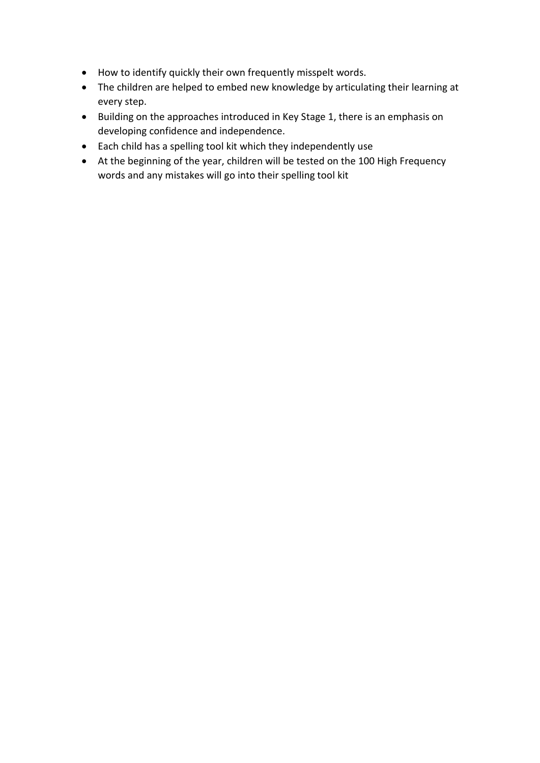- How to identify quickly their own frequently misspelt words.
- The children are helped to embed new knowledge by articulating their learning at every step.
- Building on the approaches introduced in Key Stage 1, there is an emphasis on developing confidence and independence.
- Each child has a spelling tool kit which they independently use
- At the beginning of the year, children will be tested on the 100 High Frequency words and any mistakes will go into their spelling tool kit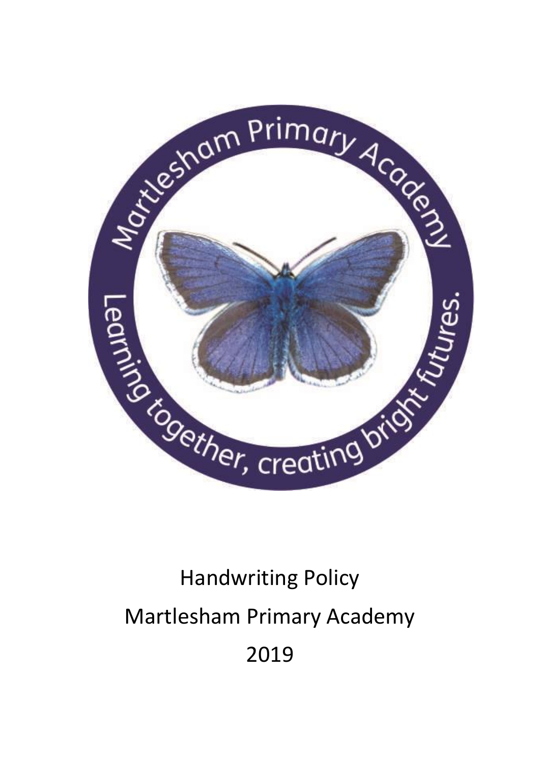

## Handwriting Policy Martlesham Primary Academy 2019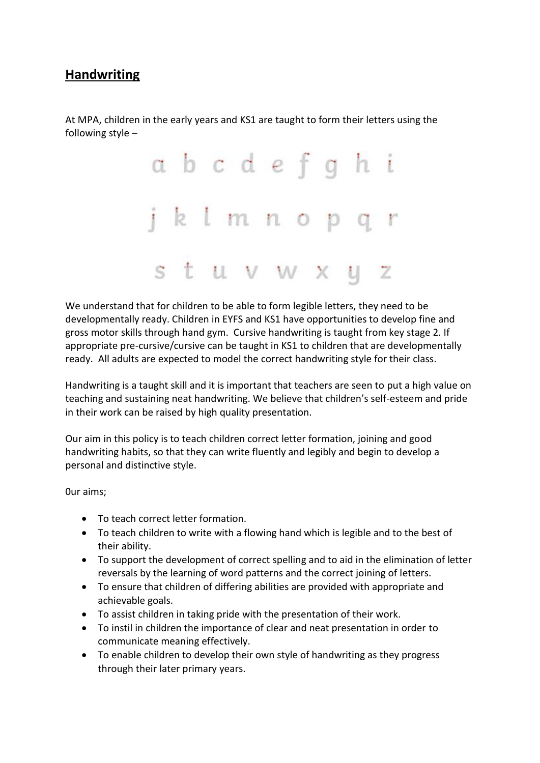### **Handwriting**

At MPA, children in the early years and KS1 are taught to form their letters using the following style –



We understand that for children to be able to form legible letters, they need to be developmentally ready. Children in EYFS and KS1 have opportunities to develop fine and gross motor skills through hand gym. Cursive handwriting is taught from key stage 2. If appropriate pre-cursive/cursive can be taught in KS1 to children that are developmentally ready. All adults are expected to model the correct handwriting style for their class.

Handwriting is a taught skill and it is important that teachers are seen to put a high value on teaching and sustaining neat handwriting. We believe that children's self-esteem and pride in their work can be raised by high quality presentation.

Our aim in this policy is to teach children correct letter formation, joining and good handwriting habits, so that they can write fluently and legibly and begin to develop a personal and distinctive style.

0ur aims;

- To teach correct letter formation.
- To teach children to write with a flowing hand which is legible and to the best of their ability.
- To support the development of correct spelling and to aid in the elimination of letter reversals by the learning of word patterns and the correct joining of letters.
- To ensure that children of differing abilities are provided with appropriate and achievable goals.
- To assist children in taking pride with the presentation of their work.
- To instil in children the importance of clear and neat presentation in order to communicate meaning effectively.
- To enable children to develop their own style of handwriting as they progress through their later primary years.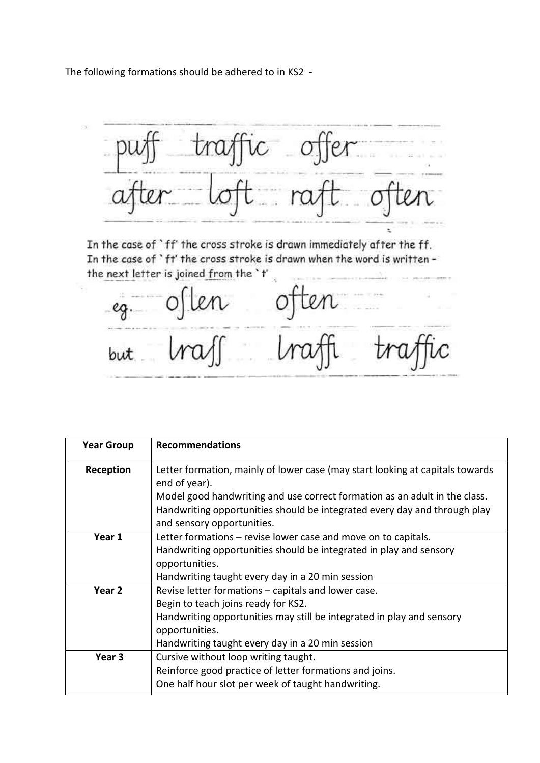The following formations should be adhered to in KS2 -

U In the case of `ff' the cross stroke is drawn immediately after the ff. In the case of 'ft' the cross stroke is drawn when the word is written the next letter is joined from the 't' i<br>Vite len  $b$ wt  $\lfloor$   $\lfloor$   $\lfloor$   $\lfloor$   $\cdots$   $\lfloor$  $\cal C$ 

| <b>Year Group</b> | <b>Recommendations</b>                                                                                  |
|-------------------|---------------------------------------------------------------------------------------------------------|
| Reception         | Letter formation, mainly of lower case (may start looking at capitals towards<br>end of year).          |
|                   | Model good handwriting and use correct formation as an adult in the class.                              |
|                   | Handwriting opportunities should be integrated every day and through play<br>and sensory opportunities. |
| Year 1            | Letter formations – revise lower case and move on to capitals.                                          |
|                   | Handwriting opportunities should be integrated in play and sensory                                      |
|                   | opportunities.                                                                                          |
|                   | Handwriting taught every day in a 20 min session                                                        |
| Year 2            | Revise letter formations – capitals and lower case.                                                     |
|                   | Begin to teach joins ready for KS2.                                                                     |
|                   | Handwriting opportunities may still be integrated in play and sensory                                   |
|                   | opportunities.                                                                                          |
|                   | Handwriting taught every day in a 20 min session                                                        |
| Year <sub>3</sub> | Cursive without loop writing taught.                                                                    |
|                   | Reinforce good practice of letter formations and joins.                                                 |
|                   | One half hour slot per week of taught handwriting.                                                      |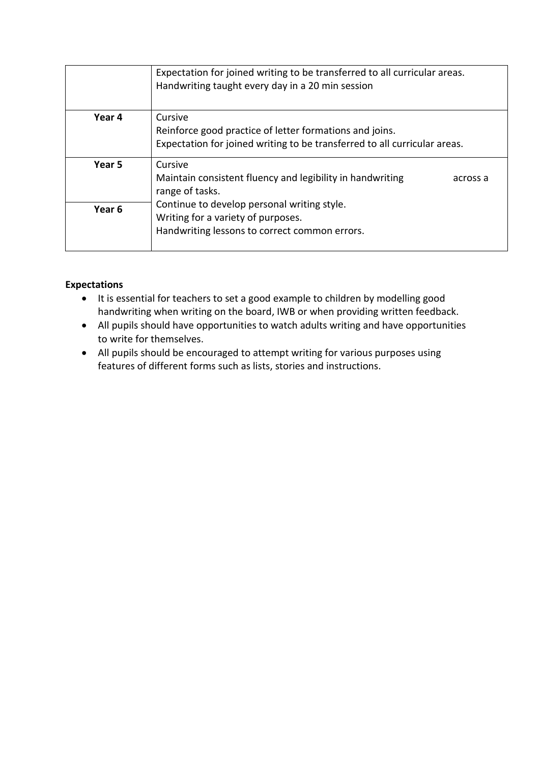|        | Expectation for joined writing to be transferred to all curricular areas.<br>Handwriting taught every day in a 20 min session                   |
|--------|-------------------------------------------------------------------------------------------------------------------------------------------------|
| Year 4 | Cursive<br>Reinforce good practice of letter formations and joins.<br>Expectation for joined writing to be transferred to all curricular areas. |
| Year 5 | Cursive<br>Maintain consistent fluency and legibility in handwriting<br>across a<br>range of tasks.                                             |
| Year 6 | Continue to develop personal writing style.<br>Writing for a variety of purposes.<br>Handwriting lessons to correct common errors.              |

#### **Expectations**

- It is essential for teachers to set a good example to children by modelling good handwriting when writing on the board, IWB or when providing written feedback.
- All pupils should have opportunities to watch adults writing and have opportunities to write for themselves.
- All pupils should be encouraged to attempt writing for various purposes using features of different forms such as lists, stories and instructions.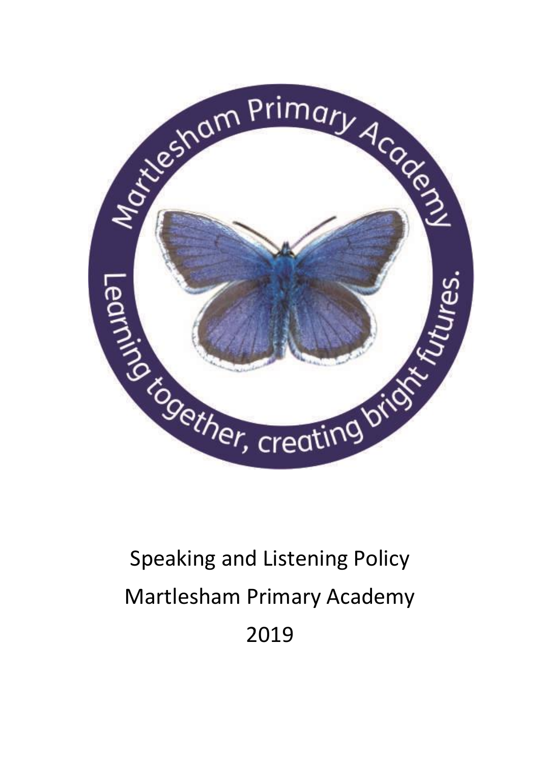

# Speaking and Listening Policy Martlesham Primary Academy 2019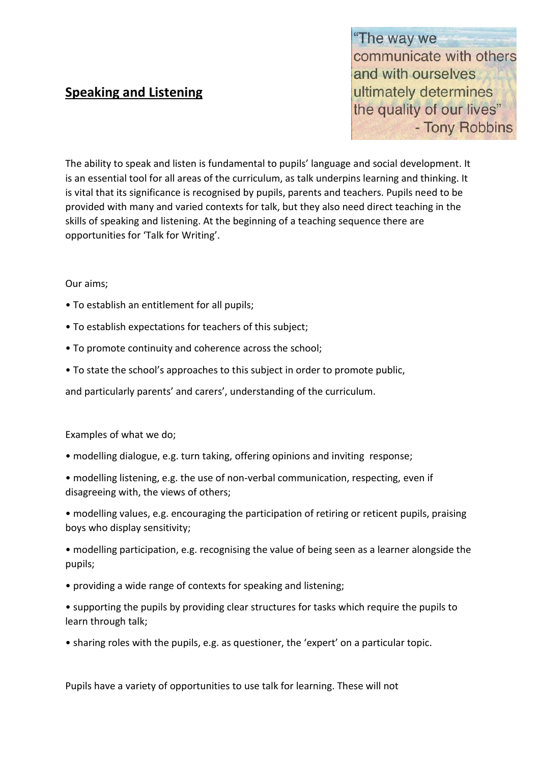## **Speaking and Listening**

"The way we communicate with others and with ourselves ultimately determines the quality of our lives" - Tony Robbins

The ability to speak and listen is fundamental to pupils' language and social development. It is an essential tool for all areas of the curriculum, as talk underpins learning and thinking. It is vital that its significance is recognised by pupils, parents and teachers. Pupils need to be provided with many and varied contexts for talk, but they also need direct teaching in the skills of speaking and listening. At the beginning of a teaching sequence there are opportunities for 'Talk for Writing'.

#### Our aims;

- To establish an entitlement for all pupils;
- To establish expectations for teachers of this subject;
- To promote continuity and coherence across the school;
- To state the school's approaches to this subject in order to promote public,

and particularly parents' and carers', understanding of the curriculum.

Examples of what we do;

- modelling dialogue, e.g. turn taking, offering opinions and inviting response;
- modelling listening, e.g. the use of non-verbal communication, respecting, even if disagreeing with, the views of others;
- modelling values, e.g. encouraging the participation of retiring or reticent pupils, praising boys who display sensitivity;
- modelling participation, e.g. recognising the value of being seen as a learner alongside the pupils;
- providing a wide range of contexts for speaking and listening;
- supporting the pupils by providing clear structures for tasks which require the pupils to learn through talk;
- sharing roles with the pupils, e.g. as questioner, the 'expert' on a particular topic.

Pupils have a variety of opportunities to use talk for learning. These will not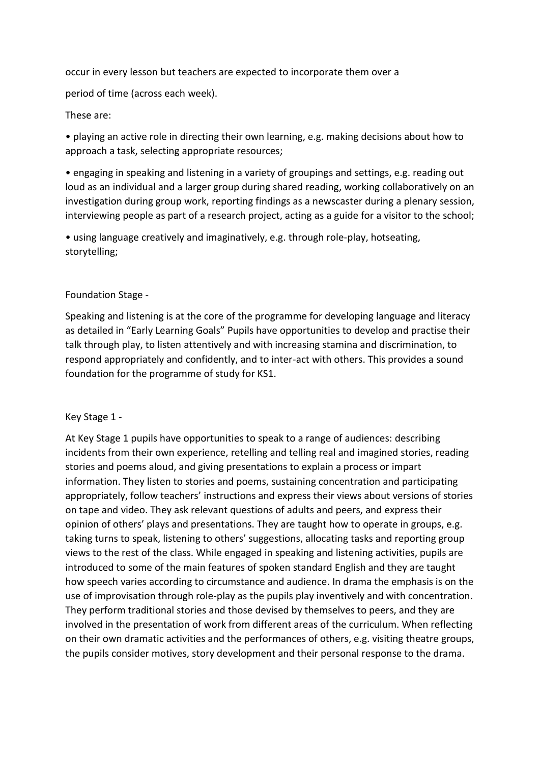occur in every lesson but teachers are expected to incorporate them over a

period of time (across each week).

#### These are:

• playing an active role in directing their own learning, e.g. making decisions about how to approach a task, selecting appropriate resources;

• engaging in speaking and listening in a variety of groupings and settings, e.g. reading out loud as an individual and a larger group during shared reading, working collaboratively on an investigation during group work, reporting findings as a newscaster during a plenary session, interviewing people as part of a research project, acting as a guide for a visitor to the school;

• using language creatively and imaginatively, e.g. through role-play, hotseating, storytelling;

#### Foundation Stage -

Speaking and listening is at the core of the programme for developing language and literacy as detailed in "Early Learning Goals" Pupils have opportunities to develop and practise their talk through play, to listen attentively and with increasing stamina and discrimination, to respond appropriately and confidently, and to inter-act with others. This provides a sound foundation for the programme of study for KS1.

#### Key Stage 1 -

At Key Stage 1 pupils have opportunities to speak to a range of audiences: describing incidents from their own experience, retelling and telling real and imagined stories, reading stories and poems aloud, and giving presentations to explain a process or impart information. They listen to stories and poems, sustaining concentration and participating appropriately, follow teachers' instructions and express their views about versions of stories on tape and video. They ask relevant questions of adults and peers, and express their opinion of others' plays and presentations. They are taught how to operate in groups, e.g. taking turns to speak, listening to others' suggestions, allocating tasks and reporting group views to the rest of the class. While engaged in speaking and listening activities, pupils are introduced to some of the main features of spoken standard English and they are taught how speech varies according to circumstance and audience. In drama the emphasis is on the use of improvisation through role-play as the pupils play inventively and with concentration. They perform traditional stories and those devised by themselves to peers, and they are involved in the presentation of work from different areas of the curriculum. When reflecting on their own dramatic activities and the performances of others, e.g. visiting theatre groups, the pupils consider motives, story development and their personal response to the drama.